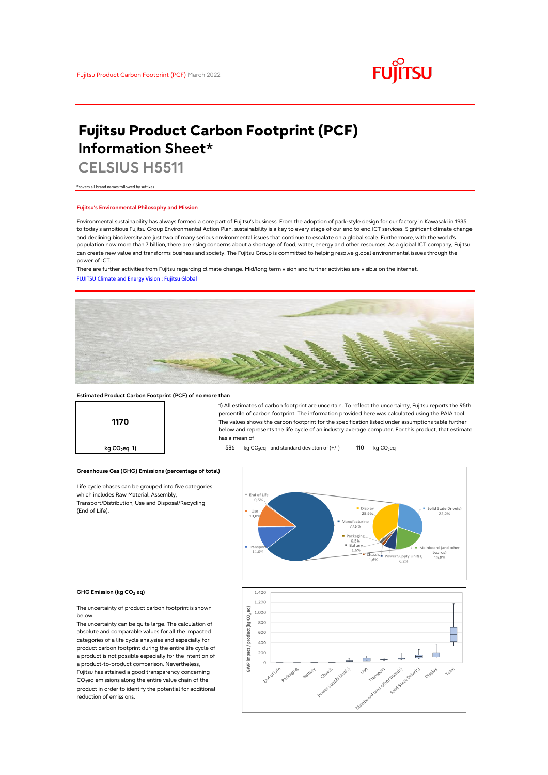

# **Fujitsu Product Carbon Footprint (PCF) Information Sheet\***

**CELSIUS H5511**

\*covers all brand names followed by suffixes

## **Fujitsu's Environmental Philosophy and Mission**

Environmental sustainability has always formed a core part of Fujitsu's business. From the adoption of park-style design for our factory in Kawasaki in 1935 to today's ambitious Fujitsu Group Environmental Action Plan, sustainability is a key to every stage of our end to end ICT services. Significant climate change and declining biodiversity are just two of many serious environmental issues that continue to escalate on a global scale. Furthermore, with the world's population now more than 7 billion, there are rising concerns about a shortage of food, water, energy and other resources. As a global ICT company, Fujitsu can create new value and transforms business and society. The Fujitsu Group is committed to helping resolve global environmental issues through the power of ICT.

[FUJITSU Climate and Energy Vision : Fujitsu Global](https://www.fujitsu.com/global/about/environment/climate-energy-vision/) There are further activities from Fujitsu regarding climate change. Mid/long term vision and further activities are visible on the internet.



## **Estimated Product Carbon Footprint (PCF) of no more than**



1) All estimates of carbon footprint are uncertain. To reflect the uncertainty, Fujitsu reports the 95th percentile of carbon footprint. The information provided here was calculated using the PAIA tool. The values shows the carbon footprint for the specification listed under assumptions table further below and represents the life cycle of an industry average computer. For this product, that estimate has a mean of

**kg CO<sub>2</sub>eq 1) b** 586 kg CO<sub>2</sub>eq and standard deviaton of (+/-) 110 kg CO<sub>2</sub>eq



### **GHG Emission (kg CO2 eq)**

(End of Life).

The uncertainty of product carbon footprint is shown below.

Life cycle phases can be grouped into five categories

**Greenhouse Gas (GHG) Emissions (percentage of total)**

which includes Raw Material, Assembly, Transport/Distribution, Use and Disposal/Recycling

The uncertainty can be quite large. The calculation of absolute and comparable values for all the impacted categories of a life cycle analysies and especially for product carbon footprint during the entire life cycle of a product is not possible especially for the intention of a product-to-product comparison. Nevertheless, Fujitsu has attained a good transparency concerning CO<sub>2</sub>eq emissions along the entire value chain of the product in order to identify the potential for additional reduction of emissions.